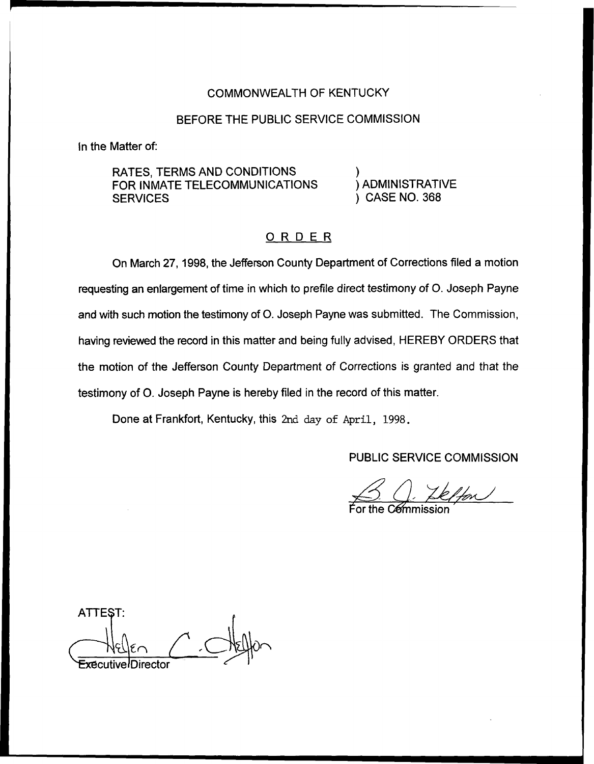### COMMONWEALTH OF KENTUCKY

## BEFORE THE PUBLIC SERVICE COMMISSION

In the Matter of:

RATES, TERMS AND CONDITIONS FOR INMATE TELECOMMUNICATIONS **SERVICES** 

) ) ADMINISTRATIVI ) CASE NO. 368

# ORDER

On March 27, 1998, the Jefferson County Department of Corrections filed a motion requesting an enlargement of time in which to prefile direct testimony of O. Joseph Payne and with such motion the testimony of O. Joseph Payne was submitted. The Commission, having reviewed the record in this matter and being fully advised, HEREBY ORDERS that the motion of the Jefferson County Department of Corrections is granted and that the testimony of O. Joseph Payne is hereby filed in the record of this matter.

Done at Frankfort, Kentucky, this 2nd day of April, 1998.

PUBLIC SERVICE COMMISSION<br>
C Commission  $\frac{\sqrt{2}}{2}$ 

For the C⁄e⁄mmissio

ATTEST: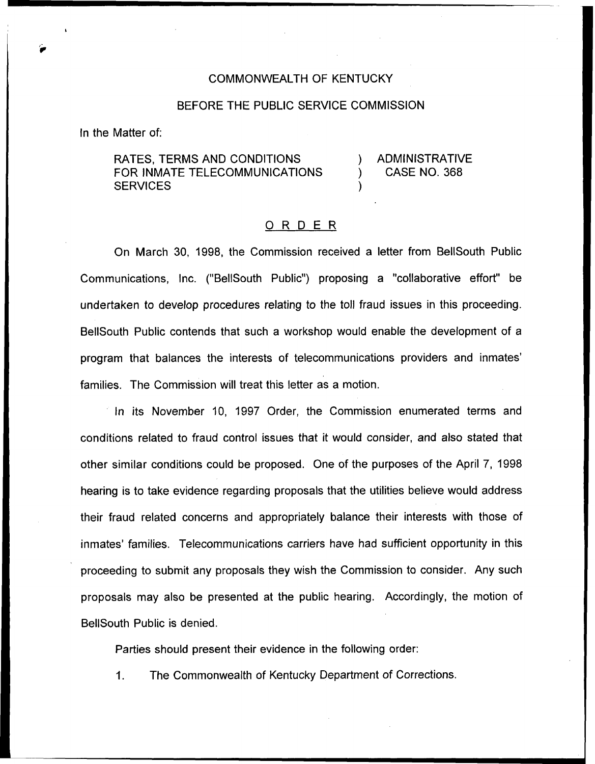#### COMMONWEALTH OF KENTUCKY

#### BEFORE THE PUBLIC SERVICE COMMISSION

In the Matter of:

RATES, TERMS AND CONDITIONS FOR INMATE TELECOMMUNICATIONS **SERVICES** 

) ADMINISTRATIVE ) CASE NO. 368

#### 0 <sup>R</sup> <sup>D</sup> <sup>E</sup> <sup>R</sup>

)

On March 30, 1998, the Commission received a letter from BellSouth Public Communications, Inc. ("BellSouth Public") proposing a "collaborative effort" be undertaken to develop procedures relating to the toll fraud issues in this proceeding. BellSouth Public contends that such a workshop would enable the development of a program that balances the interests of telecommunications providers and families. The Commission will treat this letter as a motion.

In its November 10, 199? Order, the Commission enumerated terms and conditions related to fraud control issues that it would consider, and also stated that other similar conditions could be proposed. One of the purposes of the April 7, 1998 hearing is to take evidence regarding proposals that the utilities believe would address their fraud related concerns and appropriately balance their interests with those of inmates' families. Telecommunications carriers have had sufficient opportunity in this proceeding to submit any proposals they wish the Commission to consider. Any such proposals may also be presented at the public hearing. Accordingly, the motion of BellSouth Public is denied.

Parties should present their evidence in the following order:

1. The Commonwealth of Kentucky Department of Corrections.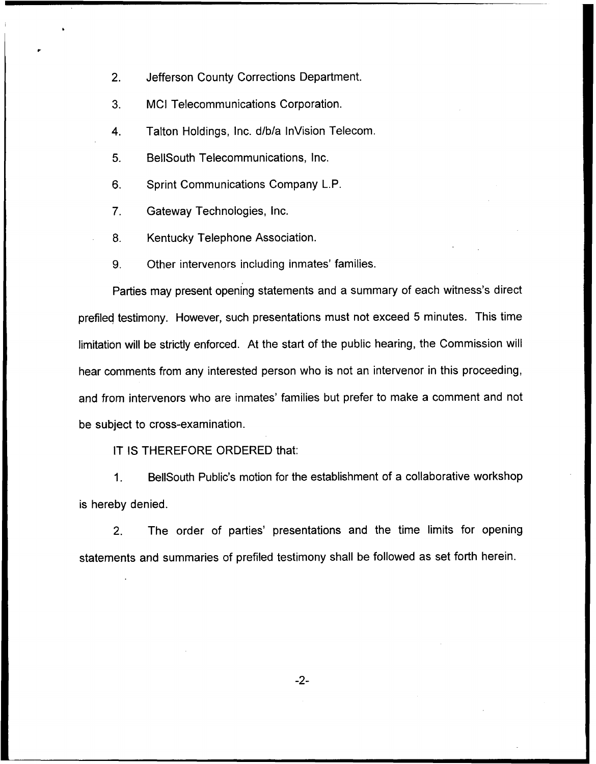2. Jefferson County Corrections Department.

3. MCI Telecommunications Corporation.

4. Talton Holdings, Inc. d/b/a InVision Telecom.

5. BellSouth Telecommunications, Inc.

6. Sprint Communications Company L.P.

7. Gateway Technologies, Inc.

8. Kentucky Telephone Association.

9. Other intervenors including inmates' families.

Parties may present opening statements and a summary of each witness's direct prefiled testimony. However, such presentations must not exceed 5 minutes. This time limitation will be strictly enforced. At the start of the public hearing, the Commission will hear comments from any interested person who is not an intervenor in this proceeding, and from intervenors who are inmates' families but prefer to make a comment and not be subject to cross-examination.

IT IS THEREFORE ORDERED that:

1. BellSouth Public's motion for the establishment of a collaborative workshop is hereby denied.

2. The order of parties' presentations and the time limits for opening statements and summaries of prefiled testimony shall be followed as set forth herein.

 $-2-$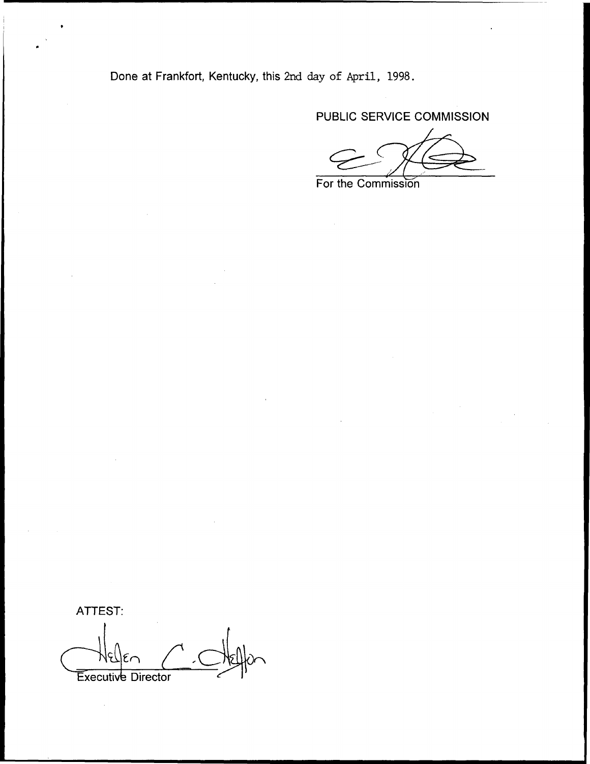Done at Frankfort, Kentucky, this 2nd day of April, 1998.

PUBLIC SERVICE COMMISSION

For the Commission

ATTEST: Executive Director

 $\mathbb{Z}$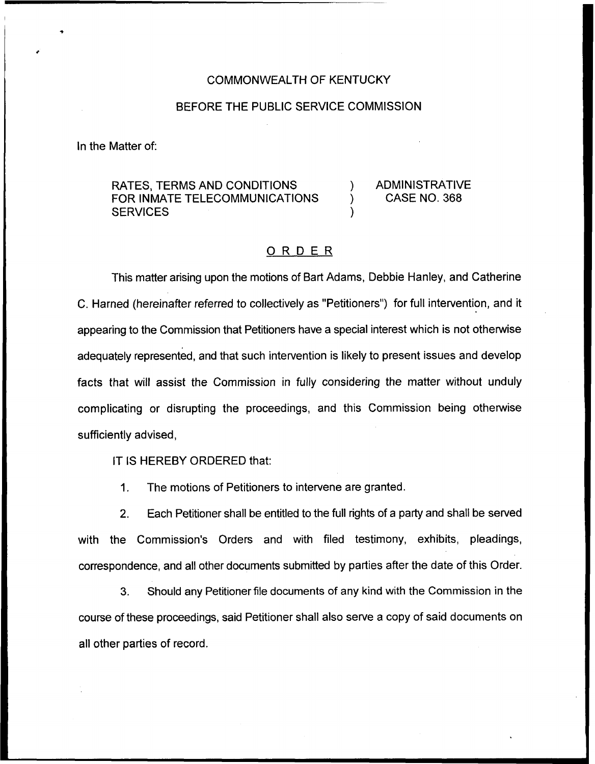#### COMMONWEALTH OF KENTUCKY

## BEFORE THE PUBLIC SERVICE COMMISSION

In the Matter of:

RATES, TERMS AND CONDITIONS FOR INMATE TELECOMMUNICATIONS **SERVICES** 

) ADMINISTRATIVE ) CASE NO. 368

## ORDER

)

This matter arising upon the motions of Bart Adams, Debbie Hanley, and Catherine C. Harned (hereinafter referred to collectively as "Petitioners") for full intervention, and it appearing to the Commission that Petitioners have a special interest which is not otherwise adequately represented, and that such intervention is likely to present issues and develop facts that will assist the Commission in fully considering the matter without unduly complicating or disrupting the proceedings, and this Commission being otherwise sufficiently advised,

## IT IS HEREBY ORDERED that:

1. The motions of Petitioners to intervene are granted.

2. Each Petitioner shall be entitled to the full rights of a party and shall be served with the Commission's Orders and with filed testimony, exhibits, pleadings, correspondence, and all other documents submitted by parties after the date of this Order.

3. Should any Petitioner file documents of any kind with the Commission in the course of these proceedings, said Petitioner shall also serve a copy of said documents on all other parties of record.